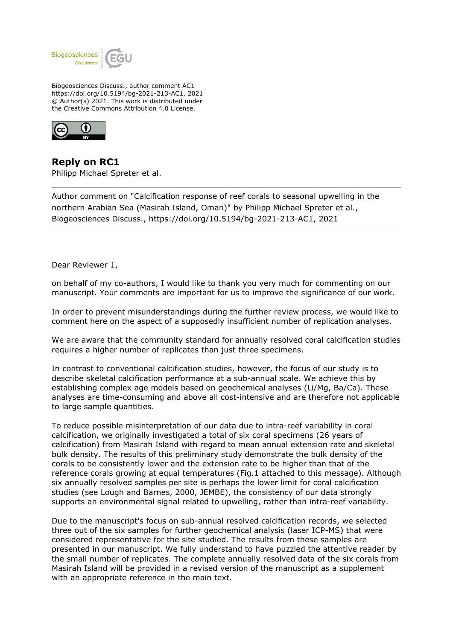

Biogeosciences Discuss., author comment AC1 https://doi.org/10.5194/bg-2021-213-AC1, 2021 © Author(s) 2021. This work is distributed under the Creative Commons Attribution 4.0 License.



**Reply on RC1** Philipp Michael Spreter et al.

Author comment on "Calcification response of reef corals to seasonal upwelling in the northern Arabian Sea (Masirah Island, Oman)" by Philipp Michael Spreter et al., Biogeosciences Discuss., https://doi.org/10.5194/bg-2021-213-AC1, 2021

Dear Reviewer 1,

on behalf of my co-authors, I would like to thank you very much for commenting on our manuscript. Your comments are important for us to improve the significance of our work.

In order to prevent misunderstandings during the further review process, we would like to comment here on the aspect of a supposedly insufficient number of replication analyses.

We are aware that the community standard for annually resolved coral calcification studies requires a higher number of replicates than just three specimens.

In contrast to conventional calcification studies, however, the focus of our study is to describe skeletal calcification performance at a sub-annual scale. We achieve this by establishing complex age models based on geochemical analyses (Li/Mg, Ba/Ca). These analyses are time-consuming and above all cost-intensive and are therefore not applicable to large sample quantities.

To reduce possible misinterpretation of our data due to intra-reef variability in coral calcification, we originally investigated a total of six coral specimens (26 years of calcification) from Masirah Island with regard to mean annual extension rate and skeletal bulk density. The results of this preliminary study demonstrate the bulk density of the corals to be consistently lower and the extension rate to be higher than that of the reference corals growing at equal temperatures (Fig.1 attached to this message). Although six annually resolved samples per site is perhaps the lower limit for coral calcification studies (see Lough and Barnes, 2000, JEMBE), the consistency of our data strongly supports an environmental signal related to upwelling, rather than intra-reef variability.

Due to the manuscript's focus on sub-annual resolved calcification records, we selected three out of the six samples for further geochemical analysis (laser ICP-MS) that were considered representative for the site studied. The results from these samples are presented in our manuscript. We fully understand to have puzzled the attentive reader by the small number of replicates. The complete annually resolved data of the six corals from Masirah Island will be provided in a revised version of the manuscript as a supplement with an appropriate reference in the main text.